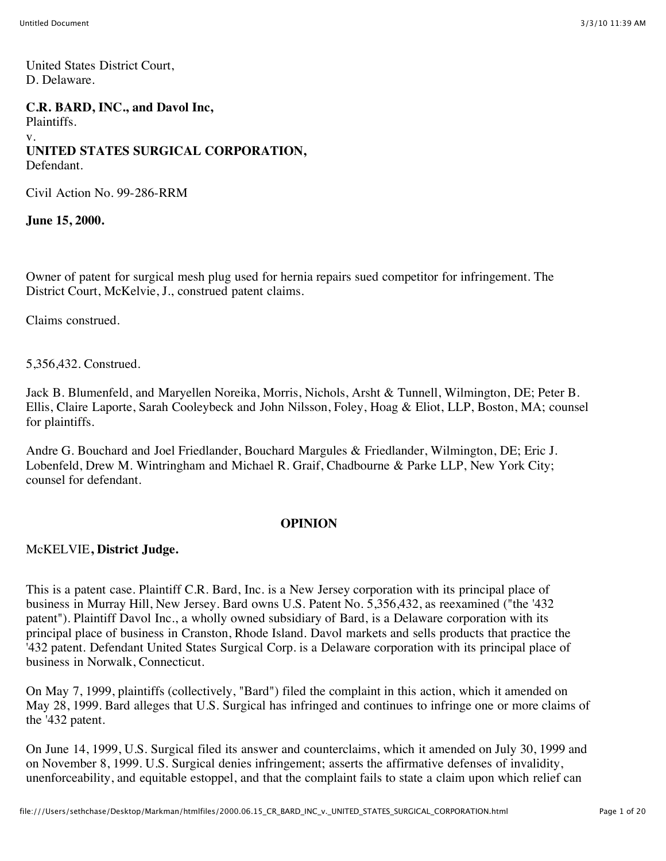United States District Court, D. Delaware.

**C.R. BARD, INC., and Davol Inc,** Plaintiffs. v. **UNITED STATES SURGICAL CORPORATION,** Defendant.

Civil Action No. 99-286-RRM

**June 15, 2000.**

Owner of patent for surgical mesh plug used for hernia repairs sued competitor for infringement. The District Court, McKelvie, J., construed patent claims.

Claims construed.

5,356,432. Construed.

Jack B. Blumenfeld, and Maryellen Noreika, Morris, Nichols, Arsht & Tunnell, Wilmington, DE; Peter B. Ellis, Claire Laporte, Sarah Cooleybeck and John Nilsson, Foley, Hoag & Eliot, LLP, Boston, MA; counsel for plaintiffs.

Andre G. Bouchard and Joel Friedlander, Bouchard Margules & Friedlander, Wilmington, DE; Eric J. Lobenfeld, Drew M. Wintringham and Michael R. Graif, Chadbourne & Parke LLP, New York City; counsel for defendant.

#### **OPINION**

#### McKELVIE**, District Judge.**

This is a patent case. Plaintiff C.R. Bard, Inc. is a New Jersey corporation with its principal place of business in Murray Hill, New Jersey. Bard owns U.S. Patent No. 5,356,432, as reexamined ("the '432 patent"). Plaintiff Davol Inc., a wholly owned subsidiary of Bard, is a Delaware corporation with its principal place of business in Cranston, Rhode Island. Davol markets and sells products that practice the '432 patent. Defendant United States Surgical Corp. is a Delaware corporation with its principal place of business in Norwalk, Connecticut.

On May 7, 1999, plaintiffs (collectively, "Bard") filed the complaint in this action, which it amended on May 28, 1999. Bard alleges that U.S. Surgical has infringed and continues to infringe one or more claims of the '432 patent.

On June 14, 1999, U.S. Surgical filed its answer and counterclaims, which it amended on July 30, 1999 and on November 8, 1999. U.S. Surgical denies infringement; asserts the affirmative defenses of invalidity, unenforceability, and equitable estoppel, and that the complaint fails to state a claim upon which relief can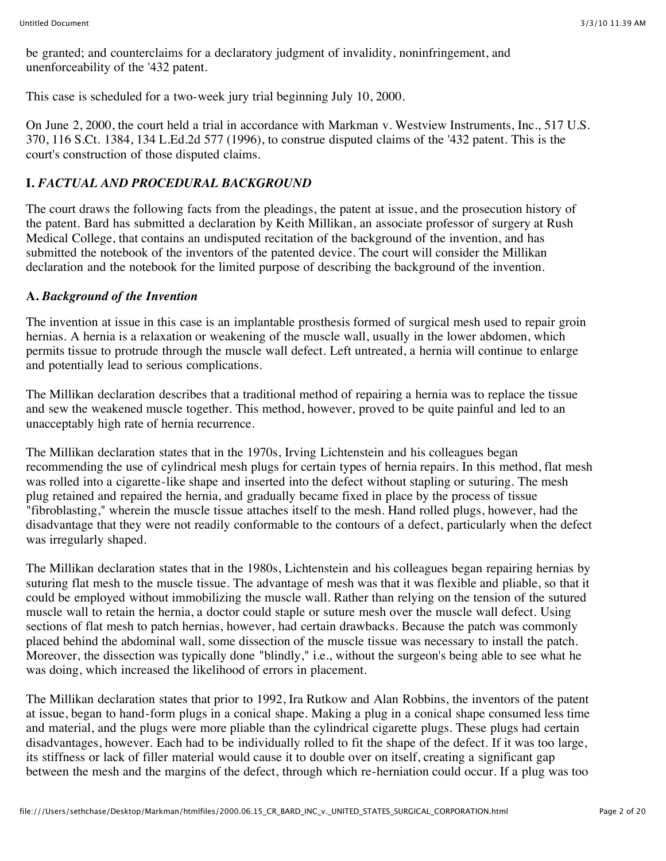be granted; and counterclaims for a declaratory judgment of invalidity, noninfringement, and unenforceability of the '432 patent.

This case is scheduled for a two-week jury trial beginning July 10, 2000.

On June 2, 2000, the court held a trial in accordance with Markman v. Westview Instruments, Inc., 517 U.S. 370, 116 S.Ct. 1384, 134 L.Ed.2d 577 (1996), to construe disputed claims of the '432 patent. This is the court's construction of those disputed claims.

# **I.** *FACTUAL AND PROCEDURAL BACKGROUND*

The court draws the following facts from the pleadings, the patent at issue, and the prosecution history of the patent. Bard has submitted a declaration by Keith Millikan, an associate professor of surgery at Rush Medical College, that contains an undisputed recitation of the background of the invention, and has submitted the notebook of the inventors of the patented device. The court will consider the Millikan declaration and the notebook for the limited purpose of describing the background of the invention.

### **A.** *Background of the Invention*

The invention at issue in this case is an implantable prosthesis formed of surgical mesh used to repair groin hernias. A hernia is a relaxation or weakening of the muscle wall, usually in the lower abdomen, which permits tissue to protrude through the muscle wall defect. Left untreated, a hernia will continue to enlarge and potentially lead to serious complications.

The Millikan declaration describes that a traditional method of repairing a hernia was to replace the tissue and sew the weakened muscle together. This method, however, proved to be quite painful and led to an unacceptably high rate of hernia recurrence.

The Millikan declaration states that in the 1970s, Irving Lichtenstein and his colleagues began recommending the use of cylindrical mesh plugs for certain types of hernia repairs. In this method, flat mesh was rolled into a cigarette-like shape and inserted into the defect without stapling or suturing. The mesh plug retained and repaired the hernia, and gradually became fixed in place by the process of tissue "fibroblasting," wherein the muscle tissue attaches itself to the mesh. Hand rolled plugs, however, had the disadvantage that they were not readily conformable to the contours of a defect, particularly when the defect was irregularly shaped.

The Millikan declaration states that in the 1980s, Lichtenstein and his colleagues began repairing hernias by suturing flat mesh to the muscle tissue. The advantage of mesh was that it was flexible and pliable, so that it could be employed without immobilizing the muscle wall. Rather than relying on the tension of the sutured muscle wall to retain the hernia, a doctor could staple or suture mesh over the muscle wall defect. Using sections of flat mesh to patch hernias, however, had certain drawbacks. Because the patch was commonly placed behind the abdominal wall, some dissection of the muscle tissue was necessary to install the patch. Moreover, the dissection was typically done "blindly," i.e., without the surgeon's being able to see what he was doing, which increased the likelihood of errors in placement.

The Millikan declaration states that prior to 1992, Ira Rutkow and Alan Robbins, the inventors of the patent at issue, began to hand-form plugs in a conical shape. Making a plug in a conical shape consumed less time and material, and the plugs were more pliable than the cylindrical cigarette plugs. These plugs had certain disadvantages, however. Each had to be individually rolled to fit the shape of the defect. If it was too large, its stiffness or lack of filler material would cause it to double over on itself, creating a significant gap between the mesh and the margins of the defect, through which re-herniation could occur. If a plug was too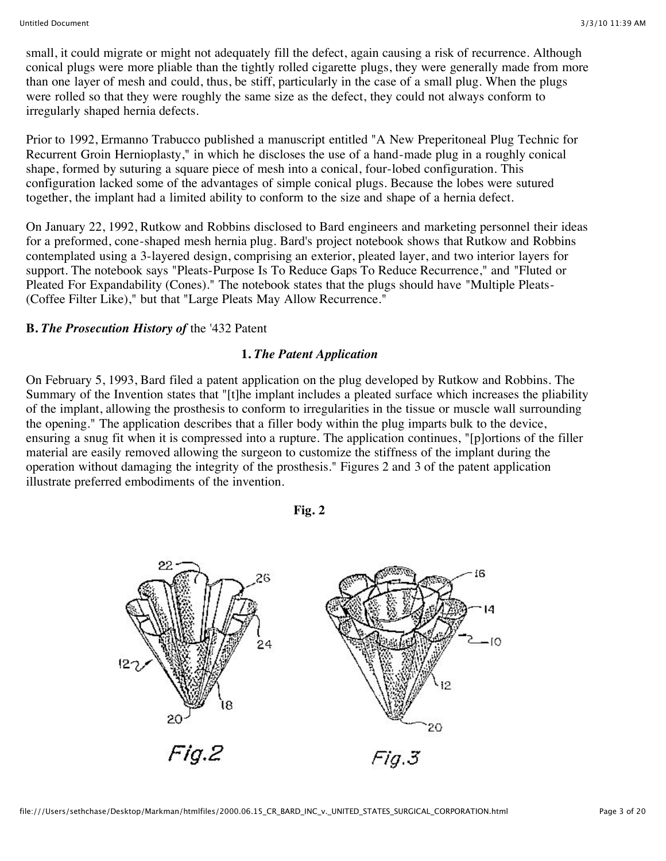small, it could migrate or might not adequately fill the defect, again causing a risk of recurrence. Although conical plugs were more pliable than the tightly rolled cigarette plugs, they were generally made from more than one layer of mesh and could, thus, be stiff, particularly in the case of a small plug. When the plugs were rolled so that they were roughly the same size as the defect, they could not always conform to irregularly shaped hernia defects.

Prior to 1992, Ermanno Trabucco published a manuscript entitled "A New Preperitoneal Plug Technic for Recurrent Groin Hernioplasty," in which he discloses the use of a hand-made plug in a roughly conical shape, formed by suturing a square piece of mesh into a conical, four-lobed configuration. This configuration lacked some of the advantages of simple conical plugs. Because the lobes were sutured together, the implant had a limited ability to conform to the size and shape of a hernia defect.

On January 22, 1992, Rutkow and Robbins disclosed to Bard engineers and marketing personnel their ideas for a preformed, cone-shaped mesh hernia plug. Bard's project notebook shows that Rutkow and Robbins contemplated using a 3-layered design, comprising an exterior, pleated layer, and two interior layers for support. The notebook says "Pleats-Purpose Is To Reduce Gaps To Reduce Recurrence," and "Fluted or Pleated For Expandability (Cones)." The notebook states that the plugs should have "Multiple Pleats- (Coffee Filter Like)," but that "Large Pleats May Allow Recurrence."

### **B.** *The Prosecution History of* the '432 Patent

### **1.** *The Patent Application*

On February 5, 1993, Bard filed a patent application on the plug developed by Rutkow and Robbins. The Summary of the Invention states that "[t]he implant includes a pleated surface which increases the pliability of the implant, allowing the prosthesis to conform to irregularities in the tissue or muscle wall surrounding the opening." The application describes that a filler body within the plug imparts bulk to the device, ensuring a snug fit when it is compressed into a rupture. The application continues, "[p]ortions of the filler material are easily removed allowing the surgeon to customize the stiffness of the implant during the operation without damaging the integrity of the prosthesis." Figures 2 and 3 of the patent application illustrate preferred embodiments of the invention.

**Fig. 2**

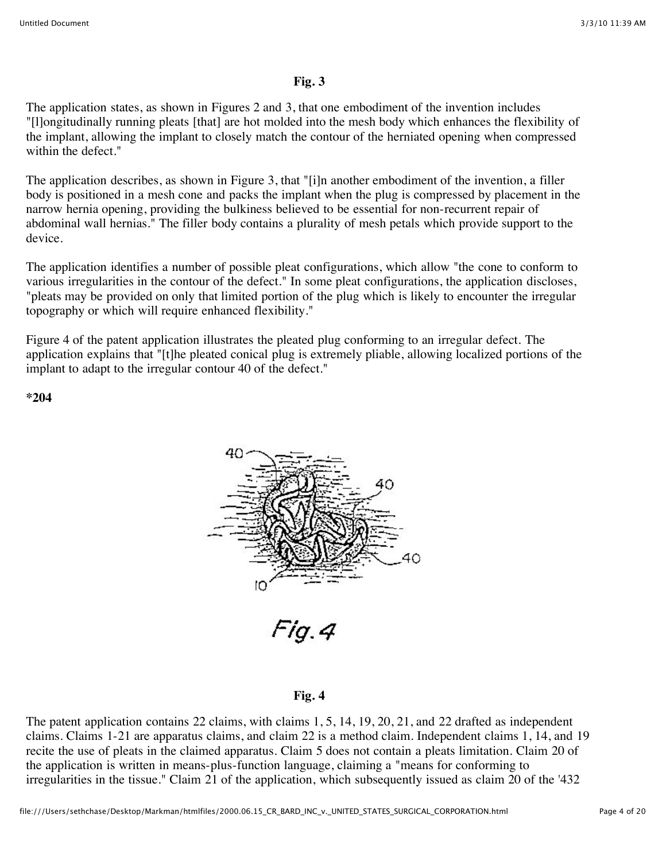### **Fig. 3**

The application states, as shown in Figures 2 and 3, that one embodiment of the invention includes "[l]ongitudinally running pleats [that] are hot molded into the mesh body which enhances the flexibility of the implant, allowing the implant to closely match the contour of the herniated opening when compressed within the defect."

The application describes, as shown in Figure 3, that "[i]n another embodiment of the invention, a filler body is positioned in a mesh cone and packs the implant when the plug is compressed by placement in the narrow hernia opening, providing the bulkiness believed to be essential for non-recurrent repair of abdominal wall hernias." The filler body contains a plurality of mesh petals which provide support to the device.

The application identifies a number of possible pleat configurations, which allow "the cone to conform to various irregularities in the contour of the defect." In some pleat configurations, the application discloses, "pleats may be provided on only that limited portion of the plug which is likely to encounter the irregular topography or which will require enhanced flexibility."

Figure 4 of the patent application illustrates the pleated plug conforming to an irregular defect. The application explains that "[t]he pleated conical plug is extremely pliable, allowing localized portions of the implant to adapt to the irregular contour 40 of the defect."

**\*204**



Fig.4

#### **Fig. 4**

The patent application contains 22 claims, with claims 1, 5, 14, 19, 20, 21, and 22 drafted as independent claims. Claims 1-21 are apparatus claims, and claim 22 is a method claim. Independent claims 1, 14, and 19 recite the use of pleats in the claimed apparatus. Claim 5 does not contain a pleats limitation. Claim 20 of the application is written in means-plus-function language, claiming a "means for conforming to irregularities in the tissue." Claim 21 of the application, which subsequently issued as claim 20 of the '432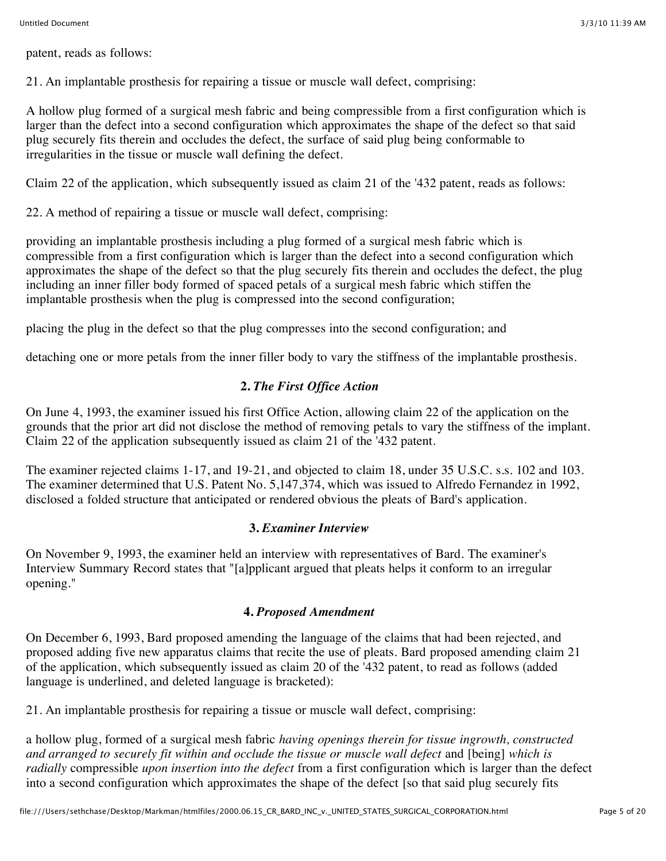patent, reads as follows:

21. An implantable prosthesis for repairing a tissue or muscle wall defect, comprising:

A hollow plug formed of a surgical mesh fabric and being compressible from a first configuration which is larger than the defect into a second configuration which approximates the shape of the defect so that said plug securely fits therein and occludes the defect, the surface of said plug being conformable to irregularities in the tissue or muscle wall defining the defect.

Claim 22 of the application, which subsequently issued as claim 21 of the '432 patent, reads as follows:

22. A method of repairing a tissue or muscle wall defect, comprising:

providing an implantable prosthesis including a plug formed of a surgical mesh fabric which is compressible from a first configuration which is larger than the defect into a second configuration which approximates the shape of the defect so that the plug securely fits therein and occludes the defect, the plug including an inner filler body formed of spaced petals of a surgical mesh fabric which stiffen the implantable prosthesis when the plug is compressed into the second configuration;

placing the plug in the defect so that the plug compresses into the second configuration; and

detaching one or more petals from the inner filler body to vary the stiffness of the implantable prosthesis.

# **2.** *The First Office Action*

On June 4, 1993, the examiner issued his first Office Action, allowing claim 22 of the application on the grounds that the prior art did not disclose the method of removing petals to vary the stiffness of the implant. Claim 22 of the application subsequently issued as claim 21 of the '432 patent.

The examiner rejected claims 1-17, and 19-21, and objected to claim 18, under 35 U.S.C. s.s. 102 and 103. The examiner determined that U.S. Patent No. 5,147,374, which was issued to Alfredo Fernandez in 1992, disclosed a folded structure that anticipated or rendered obvious the pleats of Bard's application.

# **3.** *Examiner Interview*

On November 9, 1993, the examiner held an interview with representatives of Bard. The examiner's Interview Summary Record states that "[a]pplicant argued that pleats helps it conform to an irregular opening."

### **4.** *Proposed Amendment*

On December 6, 1993, Bard proposed amending the language of the claims that had been rejected, and proposed adding five new apparatus claims that recite the use of pleats. Bard proposed amending claim 21 of the application, which subsequently issued as claim 20 of the '432 patent, to read as follows (added language is underlined, and deleted language is bracketed):

21. An implantable prosthesis for repairing a tissue or muscle wall defect, comprising:

a hollow plug, formed of a surgical mesh fabric *having openings therein for tissue ingrowth, constructed and arranged to securely fit within and occlude the tissue or muscle wall defect* and [being] *which is radially* compressible *upon insertion into the defect* from a first configuration which is larger than the defect into a second configuration which approximates the shape of the defect [so that said plug securely fits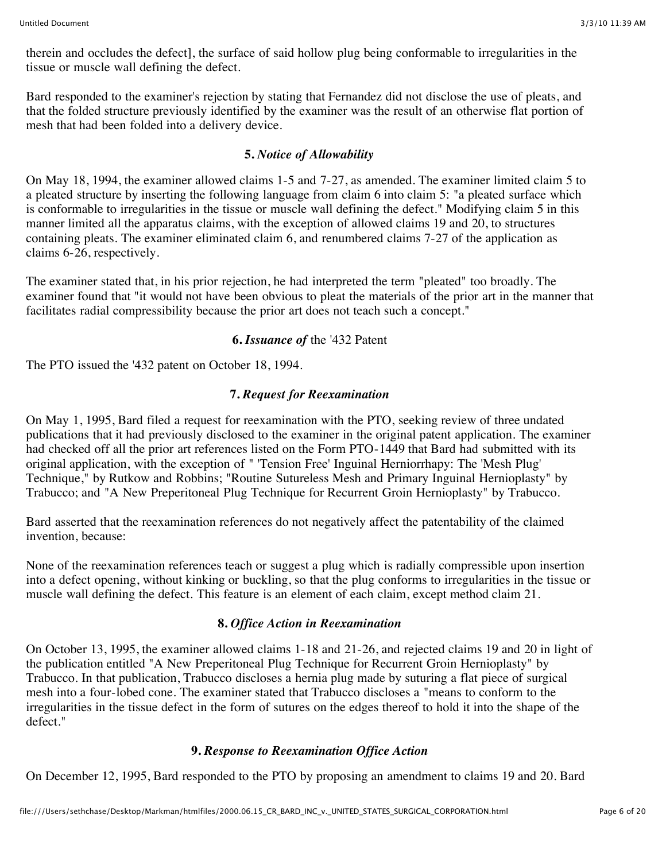therein and occludes the defect], the surface of said hollow plug being conformable to irregularities in the tissue or muscle wall defining the defect.

Bard responded to the examiner's rejection by stating that Fernandez did not disclose the use of pleats, and that the folded structure previously identified by the examiner was the result of an otherwise flat portion of mesh that had been folded into a delivery device.

### **5.** *Notice of Allowability*

On May 18, 1994, the examiner allowed claims 1-5 and 7-27, as amended. The examiner limited claim 5 to a pleated structure by inserting the following language from claim 6 into claim 5: "a pleated surface which is conformable to irregularities in the tissue or muscle wall defining the defect." Modifying claim 5 in this manner limited all the apparatus claims, with the exception of allowed claims 19 and 20, to structures containing pleats. The examiner eliminated claim 6, and renumbered claims 7-27 of the application as claims 6-26, respectively.

The examiner stated that, in his prior rejection, he had interpreted the term "pleated" too broadly. The examiner found that "it would not have been obvious to pleat the materials of the prior art in the manner that facilitates radial compressibility because the prior art does not teach such a concept."

### **6.** *Issuance of* the '432 Patent

The PTO issued the '432 patent on October 18, 1994.

### **7.** *Request for Reexamination*

On May 1, 1995, Bard filed a request for reexamination with the PTO, seeking review of three undated publications that it had previously disclosed to the examiner in the original patent application. The examiner had checked off all the prior art references listed on the Form PTO-1449 that Bard had submitted with its original application, with the exception of " 'Tension Free' Inguinal Herniorrhapy: The 'Mesh Plug' Technique," by Rutkow and Robbins; "Routine Sutureless Mesh and Primary Inguinal Hernioplasty" by Trabucco; and "A New Preperitoneal Plug Technique for Recurrent Groin Hernioplasty" by Trabucco.

Bard asserted that the reexamination references do not negatively affect the patentability of the claimed invention, because:

None of the reexamination references teach or suggest a plug which is radially compressible upon insertion into a defect opening, without kinking or buckling, so that the plug conforms to irregularities in the tissue or muscle wall defining the defect. This feature is an element of each claim, except method claim 21.

### **8.** *Office Action in Reexamination*

On October 13, 1995, the examiner allowed claims 1-18 and 21-26, and rejected claims 19 and 20 in light of the publication entitled "A New Preperitoneal Plug Technique for Recurrent Groin Hernioplasty" by Trabucco. In that publication, Trabucco discloses a hernia plug made by suturing a flat piece of surgical mesh into a four-lobed cone. The examiner stated that Trabucco discloses a "means to conform to the irregularities in the tissue defect in the form of sutures on the edges thereof to hold it into the shape of the defect."

### **9.** *Response to Reexamination Office Action*

On December 12, 1995, Bard responded to the PTO by proposing an amendment to claims 19 and 20. Bard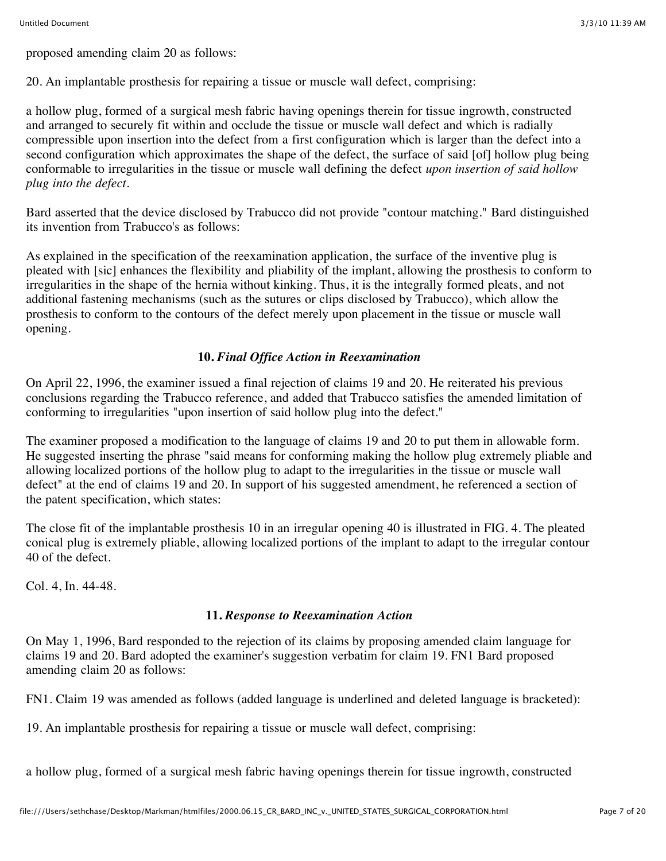proposed amending claim 20 as follows:

20. An implantable prosthesis for repairing a tissue or muscle wall defect, comprising:

a hollow plug, formed of a surgical mesh fabric having openings therein for tissue ingrowth, constructed and arranged to securely fit within and occlude the tissue or muscle wall defect and which is radially compressible upon insertion into the defect from a first configuration which is larger than the defect into a second configuration which approximates the shape of the defect, the surface of said [of] hollow plug being conformable to irregularities in the tissue or muscle wall defining the defect *upon insertion of said hollow plug into the defect.*

Bard asserted that the device disclosed by Trabucco did not provide "contour matching." Bard distinguished its invention from Trabucco's as follows:

As explained in the specification of the reexamination application, the surface of the inventive plug is pleated with [sic] enhances the flexibility and pliability of the implant, allowing the prosthesis to conform to irregularities in the shape of the hernia without kinking. Thus, it is the integrally formed pleats, and not additional fastening mechanisms (such as the sutures or clips disclosed by Trabucco), which allow the prosthesis to conform to the contours of the defect merely upon placement in the tissue or muscle wall opening.

### **10.** *Final Office Action in Reexamination*

On April 22, 1996, the examiner issued a final rejection of claims 19 and 20. He reiterated his previous conclusions regarding the Trabucco reference, and added that Trabucco satisfies the amended limitation of conforming to irregularities "upon insertion of said hollow plug into the defect."

The examiner proposed a modification to the language of claims 19 and 20 to put them in allowable form. He suggested inserting the phrase "said means for conforming making the hollow plug extremely pliable and allowing localized portions of the hollow plug to adapt to the irregularities in the tissue or muscle wall defect" at the end of claims 19 and 20. In support of his suggested amendment, he referenced a section of the patent specification, which states:

The close fit of the implantable prosthesis 10 in an irregular opening 40 is illustrated in FIG. 4. The pleated conical plug is extremely pliable, allowing localized portions of the implant to adapt to the irregular contour 40 of the defect.

Col. 4, In. 44-48.

# **11.** *Response to Reexamination Action*

On May 1, 1996, Bard responded to the rejection of its claims by proposing amended claim language for claims 19 and 20. Bard adopted the examiner's suggestion verbatim for claim 19. FN1 Bard proposed amending claim 20 as follows:

FN1. Claim 19 was amended as follows (added language is underlined and deleted language is bracketed):

19. An implantable prosthesis for repairing a tissue or muscle wall defect, comprising:

a hollow plug, formed of a surgical mesh fabric having openings therein for tissue ingrowth, constructed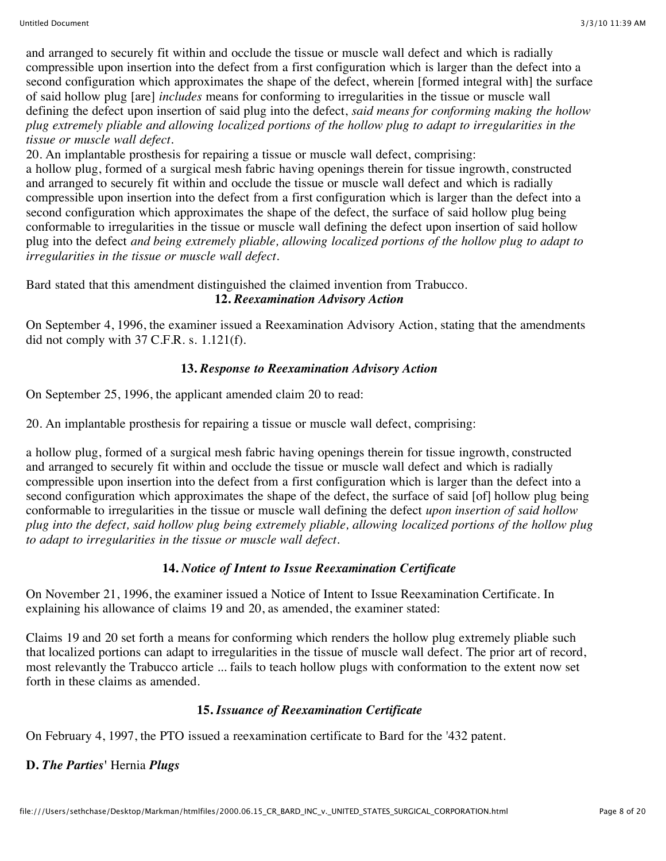and arranged to securely fit within and occlude the tissue or muscle wall defect and which is radially compressible upon insertion into the defect from a first configuration which is larger than the defect into a second configuration which approximates the shape of the defect, wherein [formed integral with] the surface of said hollow plug [are] *includes* means for conforming to irregularities in the tissue or muscle wall defining the defect upon insertion of said plug into the defect, *said means for conforming making the hollow plug extremely pliable and allowing localized portions of the hollow plug to adapt to irregularities in the tissue or muscle wall defect.*

20. An implantable prosthesis for repairing a tissue or muscle wall defect, comprising: a hollow plug, formed of a surgical mesh fabric having openings therein for tissue ingrowth, constructed and arranged to securely fit within and occlude the tissue or muscle wall defect and which is radially compressible upon insertion into the defect from a first configuration which is larger than the defect into a second configuration which approximates the shape of the defect, the surface of said hollow plug being conformable to irregularities in the tissue or muscle wall defining the defect upon insertion of said hollow plug into the defect *and being extremely pliable, allowing localized portions of the hollow plug to adapt to irregularities in the tissue or muscle wall defect.*

Bard stated that this amendment distinguished the claimed invention from Trabucco. **12.** *Reexamination Advisory Action*

On September 4, 1996, the examiner issued a Reexamination Advisory Action, stating that the amendments did not comply with 37 C.F.R. s. 1.121(f).

# **13.** *Response to Reexamination Advisory Action*

On September 25, 1996, the applicant amended claim 20 to read:

20. An implantable prosthesis for repairing a tissue or muscle wall defect, comprising:

a hollow plug, formed of a surgical mesh fabric having openings therein for tissue ingrowth, constructed and arranged to securely fit within and occlude the tissue or muscle wall defect and which is radially compressible upon insertion into the defect from a first configuration which is larger than the defect into a second configuration which approximates the shape of the defect, the surface of said [of] hollow plug being conformable to irregularities in the tissue or muscle wall defining the defect *upon insertion of said hollow plug into the defect, said hollow plug being extremely pliable, allowing localized portions of the hollow plug to adapt to irregularities in the tissue or muscle wall defect.*

# **14.** *Notice of Intent to Issue Reexamination Certificate*

On November 21, 1996, the examiner issued a Notice of Intent to Issue Reexamination Certificate. In explaining his allowance of claims 19 and 20, as amended, the examiner stated:

Claims 19 and 20 set forth a means for conforming which renders the hollow plug extremely pliable such that localized portions can adapt to irregularities in the tissue of muscle wall defect. The prior art of record, most relevantly the Trabucco article ... fails to teach hollow plugs with conformation to the extent now set forth in these claims as amended.

# **15.** *Issuance of Reexamination Certificate*

On February 4, 1997, the PTO issued a reexamination certificate to Bard for the '432 patent.

# **D.** *The Parties'* Hernia *Plugs*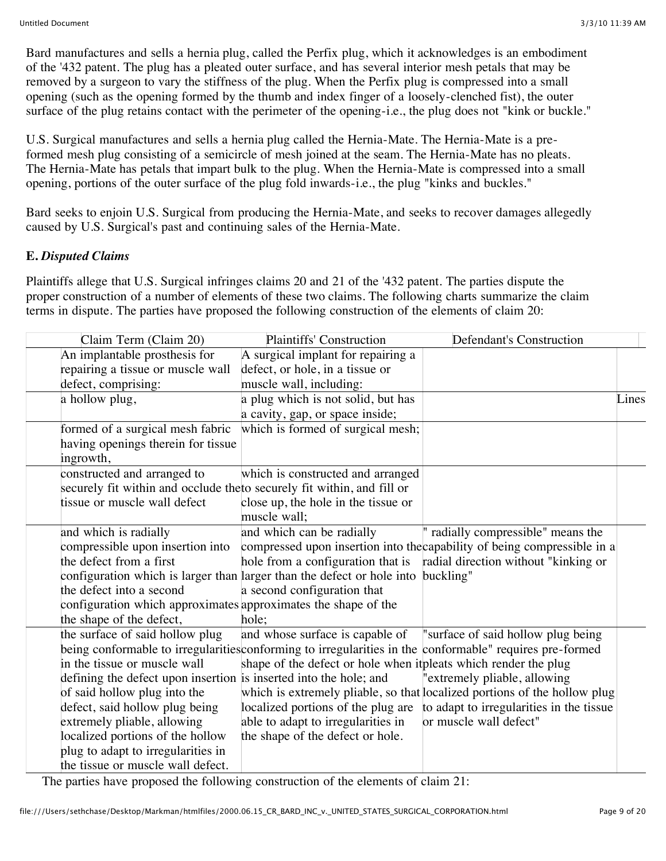Bard manufactures and sells a hernia plug, called the Perfix plug, which it acknowledges is an embodiment of the '432 patent. The plug has a pleated outer surface, and has several interior mesh petals that may be removed by a surgeon to vary the stiffness of the plug. When the Perfix plug is compressed into a small opening (such as the opening formed by the thumb and index finger of a loosely-clenched fist), the outer surface of the plug retains contact with the perimeter of the opening-i.e., the plug does not "kink or buckle."

U.S. Surgical manufactures and sells a hernia plug called the Hernia-Mate. The Hernia-Mate is a preformed mesh plug consisting of a semicircle of mesh joined at the seam. The Hernia-Mate has no pleats. The Hernia-Mate has petals that impart bulk to the plug. When the Hernia-Mate is compressed into a small opening, portions of the outer surface of the plug fold inwards-i.e., the plug "kinks and buckles."

Bard seeks to enjoin U.S. Surgical from producing the Hernia-Mate, and seeks to recover damages allegedly caused by U.S. Surgical's past and continuing sales of the Hernia-Mate.

# **E.** *Disputed Claims*

Plaintiffs allege that U.S. Surgical infringes claims 20 and 21 of the '432 patent. The parties dispute the proper construction of a number of elements of these two claims. The following charts summarize the claim terms in dispute. The parties have proposed the following construction of the elements of claim 20:

| Claim Term (Claim 20)                                                   | <b>Plaintiffs' Construction</b>                                        | Defendant's Construction                                                                                 |       |
|-------------------------------------------------------------------------|------------------------------------------------------------------------|----------------------------------------------------------------------------------------------------------|-------|
| An implantable prosthesis for                                           | A surgical implant for repairing a                                     |                                                                                                          |       |
| repairing a tissue or muscle wall                                       | defect, or hole, in a tissue or                                        |                                                                                                          |       |
| defect, comprising:                                                     | muscle wall, including:                                                |                                                                                                          |       |
| a hollow plug,                                                          | a plug which is not solid, but has                                     |                                                                                                          | Lines |
|                                                                         | a cavity, gap, or space inside;                                        |                                                                                                          |       |
| formed of a surgical mesh fabric                                        | which is formed of surgical mesh;                                      |                                                                                                          |       |
| having openings therein for tissue                                      |                                                                        |                                                                                                          |       |
| ingrowth,                                                               |                                                                        |                                                                                                          |       |
| constructed and arranged to                                             | which is constructed and arranged                                      |                                                                                                          |       |
| securely fit within and occlude the to securely fit within, and fill or |                                                                        |                                                                                                          |       |
| tissue or muscle wall defect                                            | close up, the hole in the tissue or                                    |                                                                                                          |       |
|                                                                         | muscle wall;                                                           |                                                                                                          |       |
| and which is radially                                                   | and which can be radially                                              | radially compressible" means the                                                                         |       |
| compressible upon insertion into                                        |                                                                        | compressed upon insertion into the capability of being compressible in a                                 |       |
| the defect from a first                                                 | hole from a configuration that is                                      | radial direction without "kinking or                                                                     |       |
|                                                                         | configuration which is larger than larger than the defect or hole into | buckling"                                                                                                |       |
| the defect into a second                                                | a second configuration that                                            |                                                                                                          |       |
| configuration which approximates approximates the shape of the          |                                                                        |                                                                                                          |       |
| the shape of the defect,                                                | hole;                                                                  |                                                                                                          |       |
| the surface of said hollow plug                                         | and whose surface is capable of                                        | "surface of said hollow plug being                                                                       |       |
|                                                                         |                                                                        | being conformable to irregularities conforming to irregularities in the conformable" requires pre-formed |       |
| in the tissue or muscle wall                                            | shape of the defect or hole when it pleats which render the plug       |                                                                                                          |       |
| defining the defect upon insertion is inserted into the hole; and       |                                                                        | "extremely pliable, allowing                                                                             |       |
| of said hollow plug into the                                            |                                                                        | which is extremely pliable, so that localized portions of the hollow plug                                |       |
| defect, said hollow plug being                                          | localized portions of the plug are                                     | to adapt to irregularities in the tissue                                                                 |       |
| extremely pliable, allowing                                             | able to adapt to irregularities in                                     | or muscle wall defect"                                                                                   |       |
| localized portions of the hollow                                        | the shape of the defect or hole.                                       |                                                                                                          |       |
| plug to adapt to irregularities in                                      |                                                                        |                                                                                                          |       |
| the tissue or muscle wall defect.                                       |                                                                        |                                                                                                          |       |

The parties have proposed the following construction of the elements of claim 21: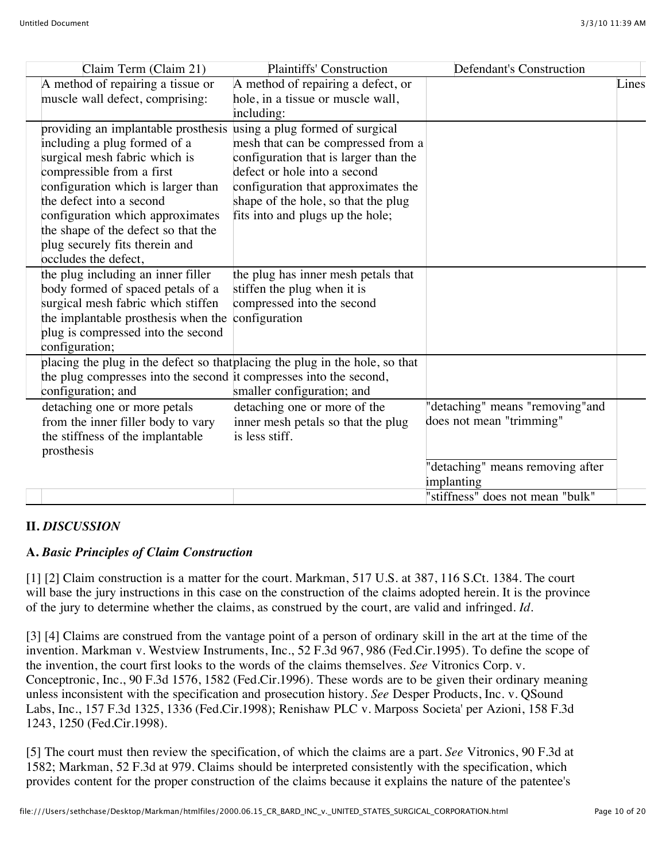| Claim Term (Claim 21)                                               | <b>Plaintiffs' Construction</b>                                              | <b>Defendant's Construction</b>  |       |
|---------------------------------------------------------------------|------------------------------------------------------------------------------|----------------------------------|-------|
| A method of repairing a tissue or                                   | A method of repairing a defect, or                                           |                                  | Lines |
| muscle wall defect, comprising:                                     | hole, in a tissue or muscle wall,                                            |                                  |       |
|                                                                     | including:                                                                   |                                  |       |
| providing an implantable prosthesis using a plug formed of surgical |                                                                              |                                  |       |
| including a plug formed of a                                        | mesh that can be compressed from a                                           |                                  |       |
| surgical mesh fabric which is                                       | configuration that is larger than the                                        |                                  |       |
| compressible from a first                                           | defect or hole into a second                                                 |                                  |       |
| configuration which is larger than                                  | configuration that approximates the                                          |                                  |       |
| the defect into a second                                            | shape of the hole, so that the plug                                          |                                  |       |
| configuration which approximates                                    | fits into and plugs up the hole;                                             |                                  |       |
| the shape of the defect so that the                                 |                                                                              |                                  |       |
| plug securely fits therein and                                      |                                                                              |                                  |       |
| occludes the defect,                                                |                                                                              |                                  |       |
| the plug including an inner filler                                  | the plug has inner mesh petals that                                          |                                  |       |
| body formed of spaced petals of a                                   | stiffen the plug when it is                                                  |                                  |       |
| surgical mesh fabric which stiffen                                  | compressed into the second                                                   |                                  |       |
| the implantable prosthesis when the                                 | configuration                                                                |                                  |       |
| plug is compressed into the second                                  |                                                                              |                                  |       |
| configuration;                                                      |                                                                              |                                  |       |
|                                                                     | placing the plug in the defect so that placing the plug in the hole, so that |                                  |       |
| the plug compresses into the second it compresses into the second,  |                                                                              |                                  |       |
| configuration; and                                                  | smaller configuration; and                                                   |                                  |       |
| detaching one or more petals                                        | detaching one or more of the                                                 | 'detaching" means "removing" and |       |
| from the inner filler body to vary                                  | inner mesh petals so that the plug                                           | does not mean "trimming"         |       |
| the stiffness of the implantable                                    | is less stiff.                                                               |                                  |       |
| prosthesis                                                          |                                                                              |                                  |       |
|                                                                     |                                                                              | 'detaching" means removing after |       |
|                                                                     |                                                                              | implanting                       |       |
|                                                                     |                                                                              | 'stiffness" does not mean "bulk" |       |

# **II.** *DISCUSSION*

# **A.** *Basic Principles of Claim Construction*

[1] [2] Claim construction is a matter for the court. Markman, 517 U.S. at 387, 116 S.Ct. 1384. The court will base the jury instructions in this case on the construction of the claims adopted herein. It is the province of the jury to determine whether the claims, as construed by the court, are valid and infringed. *Id.*

[3] [4] Claims are construed from the vantage point of a person of ordinary skill in the art at the time of the invention. Markman v. Westview Instruments, Inc., 52 F.3d 967, 986 (Fed.Cir.1995). To define the scope of the invention, the court first looks to the words of the claims themselves. *See* Vitronics Corp. v. Conceptronic, Inc., 90 F.3d 1576, 1582 (Fed.Cir.1996). These words are to be given their ordinary meaning unless inconsistent with the specification and prosecution history. *See* Desper Products, Inc. v. QSound Labs, Inc., 157 F.3d 1325, 1336 (Fed.Cir.1998); Renishaw PLC v. Marposs Societa' per Azioni, 158 F.3d 1243, 1250 (Fed.Cir.1998).

[5] The court must then review the specification, of which the claims are a part. *See* Vitronics, 90 F.3d at 1582; Markman, 52 F.3d at 979. Claims should be interpreted consistently with the specification, which provides content for the proper construction of the claims because it explains the nature of the patentee's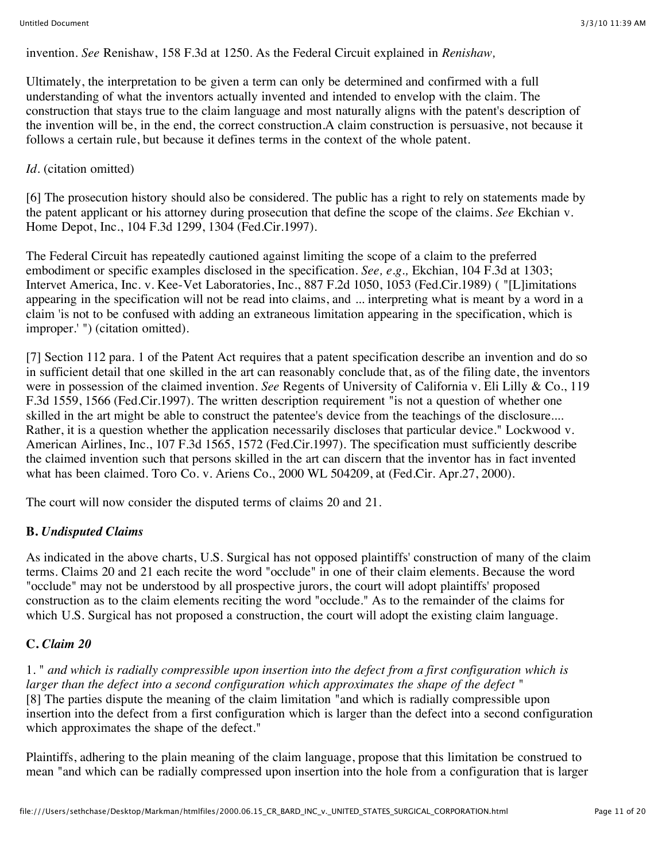invention. *See* Renishaw, 158 F.3d at 1250. As the Federal Circuit explained in *Renishaw,*

Ultimately, the interpretation to be given a term can only be determined and confirmed with a full understanding of what the inventors actually invented and intended to envelop with the claim. The construction that stays true to the claim language and most naturally aligns with the patent's description of the invention will be, in the end, the correct construction.A claim construction is persuasive, not because it follows a certain rule, but because it defines terms in the context of the whole patent.

# *Id.* (citation omitted)

[6] The prosecution history should also be considered. The public has a right to rely on statements made by the patent applicant or his attorney during prosecution that define the scope of the claims. *See* Ekchian v. Home Depot, Inc., 104 F.3d 1299, 1304 (Fed.Cir.1997).

The Federal Circuit has repeatedly cautioned against limiting the scope of a claim to the preferred embodiment or specific examples disclosed in the specification. *See, e.g.,* Ekchian, 104 F.3d at 1303; Intervet America, Inc. v. Kee-Vet Laboratories, Inc., 887 F.2d 1050, 1053 (Fed.Cir.1989) ( "[L]imitations appearing in the specification will not be read into claims, and ... interpreting what is meant by a word in a claim 'is not to be confused with adding an extraneous limitation appearing in the specification, which is improper.' ") (citation omitted).

[7] Section 112 para. 1 of the Patent Act requires that a patent specification describe an invention and do so in sufficient detail that one skilled in the art can reasonably conclude that, as of the filing date, the inventors were in possession of the claimed invention. *See* Regents of University of California v. Eli Lilly & Co., 119 F.3d 1559, 1566 (Fed.Cir.1997). The written description requirement "is not a question of whether one skilled in the art might be able to construct the patentee's device from the teachings of the disclosure.... Rather, it is a question whether the application necessarily discloses that particular device." Lockwood v. American Airlines, Inc., 107 F.3d 1565, 1572 (Fed.Cir.1997). The specification must sufficiently describe the claimed invention such that persons skilled in the art can discern that the inventor has in fact invented what has been claimed. Toro Co. v. Ariens Co., 2000 WL 504209, at (Fed.Cir. Apr.27, 2000).

The court will now consider the disputed terms of claims 20 and 21.

# **B.** *Undisputed Claims*

As indicated in the above charts, U.S. Surgical has not opposed plaintiffs' construction of many of the claim terms. Claims 20 and 21 each recite the word "occlude" in one of their claim elements. Because the word "occlude" may not be understood by all prospective jurors, the court will adopt plaintiffs' proposed construction as to the claim elements reciting the word "occlude." As to the remainder of the claims for which U.S. Surgical has not proposed a construction, the court will adopt the existing claim language.

# **C.** *Claim 20*

1. " *and which is radially compressible upon insertion into the defect from a first configuration which is larger than the defect into a second configuration which approximates the shape of the defect* " [8] The parties dispute the meaning of the claim limitation "and which is radially compressible upon insertion into the defect from a first configuration which is larger than the defect into a second configuration which approximates the shape of the defect."

Plaintiffs, adhering to the plain meaning of the claim language, propose that this limitation be construed to mean "and which can be radially compressed upon insertion into the hole from a configuration that is larger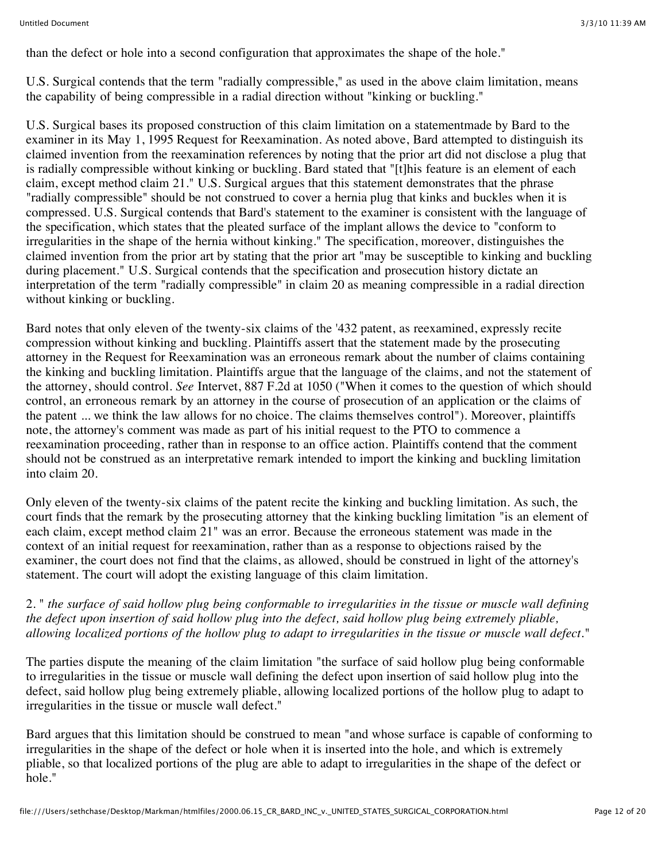than the defect or hole into a second configuration that approximates the shape of the hole."

U.S. Surgical contends that the term "radially compressible," as used in the above claim limitation, means the capability of being compressible in a radial direction without "kinking or buckling."

U.S. Surgical bases its proposed construction of this claim limitation on a statementmade by Bard to the examiner in its May 1, 1995 Request for Reexamination. As noted above, Bard attempted to distinguish its claimed invention from the reexamination references by noting that the prior art did not disclose a plug that is radially compressible without kinking or buckling. Bard stated that "[t]his feature is an element of each claim, except method claim 21." U.S. Surgical argues that this statement demonstrates that the phrase "radially compressible" should be not construed to cover a hernia plug that kinks and buckles when it is compressed. U.S. Surgical contends that Bard's statement to the examiner is consistent with the language of the specification, which states that the pleated surface of the implant allows the device to "conform to irregularities in the shape of the hernia without kinking." The specification, moreover, distinguishes the claimed invention from the prior art by stating that the prior art "may be susceptible to kinking and buckling during placement." U.S. Surgical contends that the specification and prosecution history dictate an interpretation of the term "radially compressible" in claim 20 as meaning compressible in a radial direction without kinking or buckling.

Bard notes that only eleven of the twenty-six claims of the '432 patent, as reexamined, expressly recite compression without kinking and buckling. Plaintiffs assert that the statement made by the prosecuting attorney in the Request for Reexamination was an erroneous remark about the number of claims containing the kinking and buckling limitation. Plaintiffs argue that the language of the claims, and not the statement of the attorney, should control. *See* Intervet, 887 F.2d at 1050 ("When it comes to the question of which should control, an erroneous remark by an attorney in the course of prosecution of an application or the claims of the patent ... we think the law allows for no choice. The claims themselves control"). Moreover, plaintiffs note, the attorney's comment was made as part of his initial request to the PTO to commence a reexamination proceeding, rather than in response to an office action. Plaintiffs contend that the comment should not be construed as an interpretative remark intended to import the kinking and buckling limitation into claim 20.

Only eleven of the twenty-six claims of the patent recite the kinking and buckling limitation. As such, the court finds that the remark by the prosecuting attorney that the kinking buckling limitation "is an element of each claim, except method claim 21" was an error. Because the erroneous statement was made in the context of an initial request for reexamination, rather than as a response to objections raised by the examiner, the court does not find that the claims, as allowed, should be construed in light of the attorney's statement. The court will adopt the existing language of this claim limitation.

### 2. " *the surface of said hollow plug being conformable to irregularities in the tissue or muscle wall defining the defect upon insertion of said hollow plug into the defect, said hollow plug being extremely pliable, allowing localized portions of the hollow plug to adapt to irregularities in the tissue or muscle wall defect.*"

The parties dispute the meaning of the claim limitation "the surface of said hollow plug being conformable to irregularities in the tissue or muscle wall defining the defect upon insertion of said hollow plug into the defect, said hollow plug being extremely pliable, allowing localized portions of the hollow plug to adapt to irregularities in the tissue or muscle wall defect."

Bard argues that this limitation should be construed to mean "and whose surface is capable of conforming to irregularities in the shape of the defect or hole when it is inserted into the hole, and which is extremely pliable, so that localized portions of the plug are able to adapt to irregularities in the shape of the defect or hole."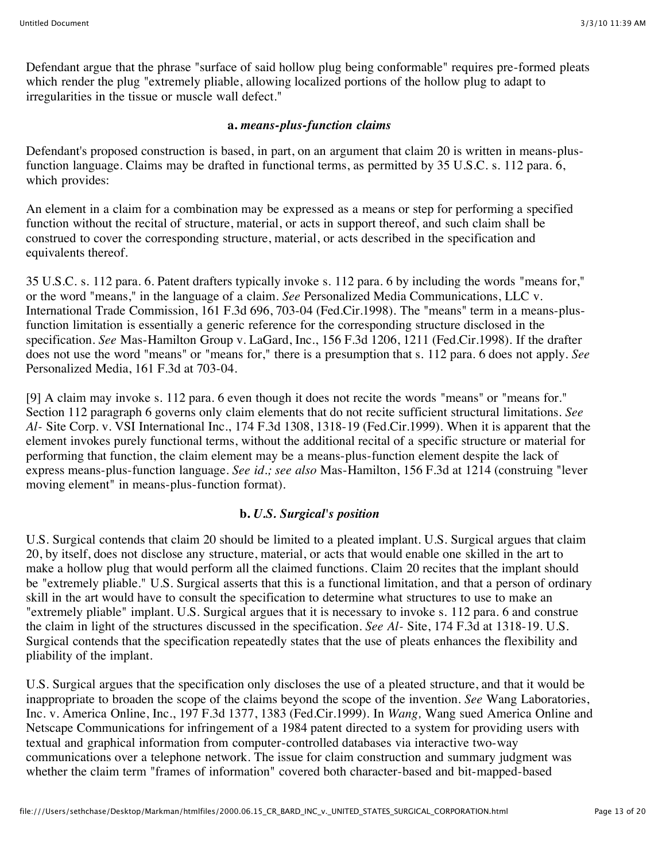Defendant argue that the phrase "surface of said hollow plug being conformable" requires pre-formed pleats which render the plug "extremely pliable, allowing localized portions of the hollow plug to adapt to irregularities in the tissue or muscle wall defect."

### **a.** *means-plus-function claims*

Defendant's proposed construction is based, in part, on an argument that claim 20 is written in means-plusfunction language. Claims may be drafted in functional terms, as permitted by 35 U.S.C. s. 112 para. 6, which provides:

An element in a claim for a combination may be expressed as a means or step for performing a specified function without the recital of structure, material, or acts in support thereof, and such claim shall be construed to cover the corresponding structure, material, or acts described in the specification and equivalents thereof.

35 U.S.C. s. 112 para. 6. Patent drafters typically invoke s. 112 para. 6 by including the words "means for," or the word "means," in the language of a claim. *See* Personalized Media Communications, LLC v. International Trade Commission, 161 F.3d 696, 703-04 (Fed.Cir.1998). The "means" term in a means-plusfunction limitation is essentially a generic reference for the corresponding structure disclosed in the specification. *See* Mas-Hamilton Group v. LaGard, Inc., 156 F.3d 1206, 1211 (Fed.Cir.1998). If the drafter does not use the word "means" or "means for," there is a presumption that s. 112 para. 6 does not apply. *See* Personalized Media, 161 F.3d at 703-04.

[9] A claim may invoke s. 112 para. 6 even though it does not recite the words "means" or "means for." Section 112 paragraph 6 governs only claim elements that do not recite sufficient structural limitations. *See Al-* Site Corp. v. VSI International Inc., 174 F.3d 1308, 1318-19 (Fed.Cir.1999). When it is apparent that the element invokes purely functional terms, without the additional recital of a specific structure or material for performing that function, the claim element may be a means-plus-function element despite the lack of express means-plus-function language. *See id.; see also* Mas-Hamilton, 156 F.3d at 1214 (construing "lever moving element" in means-plus-function format).

# **b.** *U.S. Surgical's position*

U.S. Surgical contends that claim 20 should be limited to a pleated implant. U.S. Surgical argues that claim 20, by itself, does not disclose any structure, material, or acts that would enable one skilled in the art to make a hollow plug that would perform all the claimed functions. Claim 20 recites that the implant should be "extremely pliable." U.S. Surgical asserts that this is a functional limitation, and that a person of ordinary skill in the art would have to consult the specification to determine what structures to use to make an "extremely pliable" implant. U.S. Surgical argues that it is necessary to invoke s. 112 para. 6 and construe the claim in light of the structures discussed in the specification. *See Al-* Site, 174 F.3d at 1318-19. U.S. Surgical contends that the specification repeatedly states that the use of pleats enhances the flexibility and pliability of the implant.

U.S. Surgical argues that the specification only discloses the use of a pleated structure, and that it would be inappropriate to broaden the scope of the claims beyond the scope of the invention. *See* Wang Laboratories, Inc. v. America Online, Inc., 197 F.3d 1377, 1383 (Fed.Cir.1999). In *Wang,* Wang sued America Online and Netscape Communications for infringement of a 1984 patent directed to a system for providing users with textual and graphical information from computer-controlled databases via interactive two-way communications over a telephone network. The issue for claim construction and summary judgment was whether the claim term "frames of information" covered both character-based and bit-mapped-based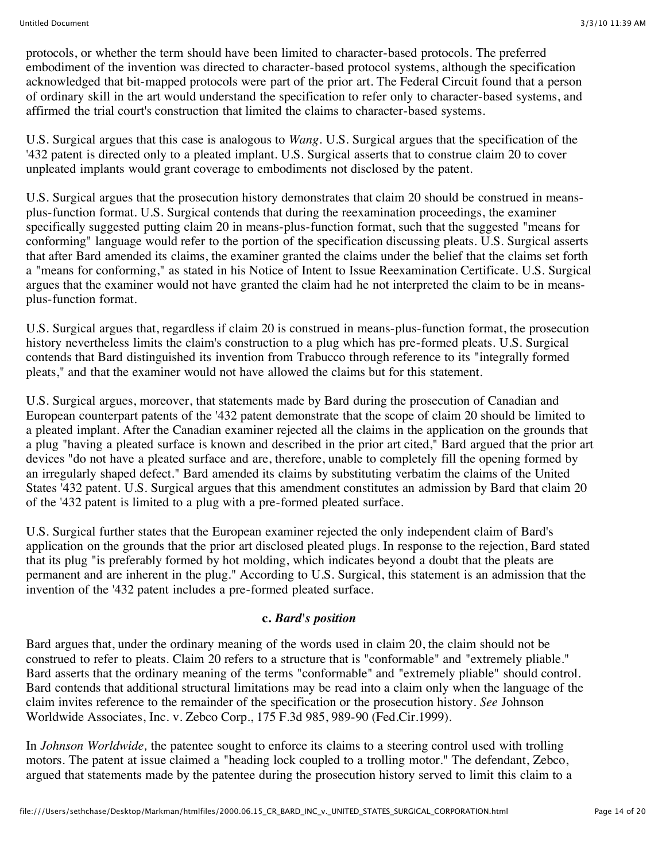protocols, or whether the term should have been limited to character-based protocols. The preferred embodiment of the invention was directed to character-based protocol systems, although the specification acknowledged that bit-mapped protocols were part of the prior art. The Federal Circuit found that a person of ordinary skill in the art would understand the specification to refer only to character-based systems, and affirmed the trial court's construction that limited the claims to character-based systems.

U.S. Surgical argues that this case is analogous to *Wang.* U.S. Surgical argues that the specification of the '432 patent is directed only to a pleated implant. U.S. Surgical asserts that to construe claim 20 to cover unpleated implants would grant coverage to embodiments not disclosed by the patent.

U.S. Surgical argues that the prosecution history demonstrates that claim 20 should be construed in meansplus-function format. U.S. Surgical contends that during the reexamination proceedings, the examiner specifically suggested putting claim 20 in means-plus-function format, such that the suggested "means for conforming" language would refer to the portion of the specification discussing pleats. U.S. Surgical asserts that after Bard amended its claims, the examiner granted the claims under the belief that the claims set forth a "means for conforming," as stated in his Notice of Intent to Issue Reexamination Certificate. U.S. Surgical argues that the examiner would not have granted the claim had he not interpreted the claim to be in meansplus-function format.

U.S. Surgical argues that, regardless if claim 20 is construed in means-plus-function format, the prosecution history nevertheless limits the claim's construction to a plug which has pre-formed pleats. U.S. Surgical contends that Bard distinguished its invention from Trabucco through reference to its "integrally formed pleats," and that the examiner would not have allowed the claims but for this statement.

U.S. Surgical argues, moreover, that statements made by Bard during the prosecution of Canadian and European counterpart patents of the '432 patent demonstrate that the scope of claim 20 should be limited to a pleated implant. After the Canadian examiner rejected all the claims in the application on the grounds that a plug "having a pleated surface is known and described in the prior art cited," Bard argued that the prior art devices "do not have a pleated surface and are, therefore, unable to completely fill the opening formed by an irregularly shaped defect." Bard amended its claims by substituting verbatim the claims of the United States '432 patent. U.S. Surgical argues that this amendment constitutes an admission by Bard that claim 20 of the '432 patent is limited to a plug with a pre-formed pleated surface.

U.S. Surgical further states that the European examiner rejected the only independent claim of Bard's application on the grounds that the prior art disclosed pleated plugs. In response to the rejection, Bard stated that its plug "is preferably formed by hot molding, which indicates beyond a doubt that the pleats are permanent and are inherent in the plug." According to U.S. Surgical, this statement is an admission that the invention of the '432 patent includes a pre-formed pleated surface.

### **c.** *Bard's position*

Bard argues that, under the ordinary meaning of the words used in claim 20, the claim should not be construed to refer to pleats. Claim 20 refers to a structure that is "conformable" and "extremely pliable." Bard asserts that the ordinary meaning of the terms "conformable" and "extremely pliable" should control. Bard contends that additional structural limitations may be read into a claim only when the language of the claim invites reference to the remainder of the specification or the prosecution history. *See* Johnson Worldwide Associates, Inc. v. Zebco Corp., 175 F.3d 985, 989-90 (Fed.Cir.1999).

In *Johnson Worldwide,* the patentee sought to enforce its claims to a steering control used with trolling motors. The patent at issue claimed a "heading lock coupled to a trolling motor." The defendant, Zebco, argued that statements made by the patentee during the prosecution history served to limit this claim to a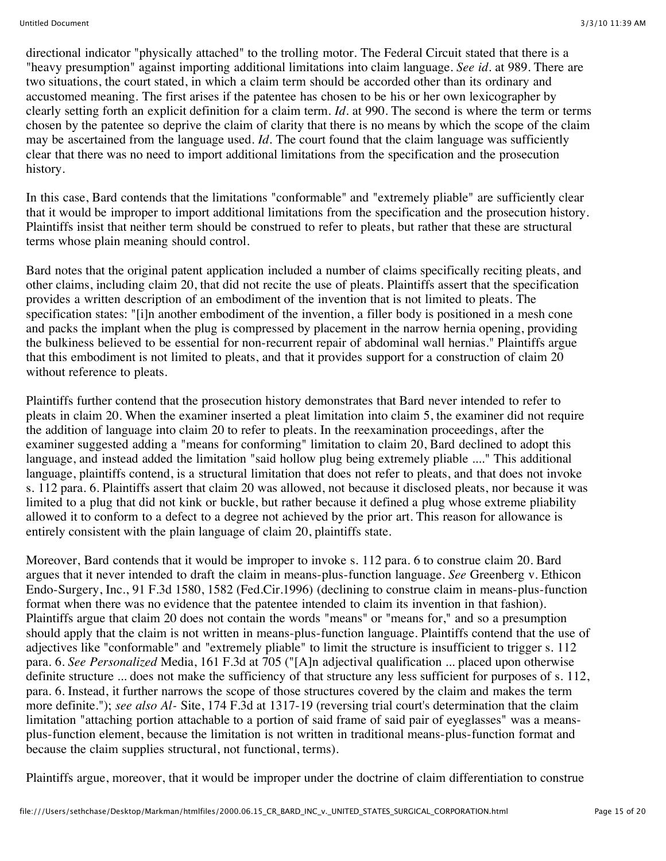directional indicator "physically attached" to the trolling motor. The Federal Circuit stated that there is a "heavy presumption" against importing additional limitations into claim language. *See id.* at 989. There are two situations, the court stated, in which a claim term should be accorded other than its ordinary and accustomed meaning. The first arises if the patentee has chosen to be his or her own lexicographer by clearly setting forth an explicit definition for a claim term. *Id.* at 990. The second is where the term or terms chosen by the patentee so deprive the claim of clarity that there is no means by which the scope of the claim may be ascertained from the language used. *Id.* The court found that the claim language was sufficiently clear that there was no need to import additional limitations from the specification and the prosecution history.

In this case, Bard contends that the limitations "conformable" and "extremely pliable" are sufficiently clear that it would be improper to import additional limitations from the specification and the prosecution history. Plaintiffs insist that neither term should be construed to refer to pleats, but rather that these are structural terms whose plain meaning should control.

Bard notes that the original patent application included a number of claims specifically reciting pleats, and other claims, including claim 20, that did not recite the use of pleats. Plaintiffs assert that the specification provides a written description of an embodiment of the invention that is not limited to pleats. The specification states: "[i]n another embodiment of the invention, a filler body is positioned in a mesh cone and packs the implant when the plug is compressed by placement in the narrow hernia opening, providing the bulkiness believed to be essential for non-recurrent repair of abdominal wall hernias." Plaintiffs argue that this embodiment is not limited to pleats, and that it provides support for a construction of claim 20 without reference to pleats.

Plaintiffs further contend that the prosecution history demonstrates that Bard never intended to refer to pleats in claim 20. When the examiner inserted a pleat limitation into claim 5, the examiner did not require the addition of language into claim 20 to refer to pleats. In the reexamination proceedings, after the examiner suggested adding a "means for conforming" limitation to claim 20, Bard declined to adopt this language, and instead added the limitation "said hollow plug being extremely pliable ...." This additional language, plaintiffs contend, is a structural limitation that does not refer to pleats, and that does not invoke s. 112 para. 6. Plaintiffs assert that claim 20 was allowed, not because it disclosed pleats, nor because it was limited to a plug that did not kink or buckle, but rather because it defined a plug whose extreme pliability allowed it to conform to a defect to a degree not achieved by the prior art. This reason for allowance is entirely consistent with the plain language of claim 20, plaintiffs state.

Moreover, Bard contends that it would be improper to invoke s. 112 para. 6 to construe claim 20. Bard argues that it never intended to draft the claim in means-plus-function language. *See* Greenberg v. Ethicon Endo-Surgery, Inc., 91 F.3d 1580, 1582 (Fed.Cir.1996) (declining to construe claim in means-plus-function format when there was no evidence that the patentee intended to claim its invention in that fashion). Plaintiffs argue that claim 20 does not contain the words "means" or "means for," and so a presumption should apply that the claim is not written in means-plus-function language. Plaintiffs contend that the use of adjectives like "conformable" and "extremely pliable" to limit the structure is insufficient to trigger s. 112 para. 6. *See Personalized* Media, 161 F.3d at 705 ("[A]n adjectival qualification ... placed upon otherwise definite structure ... does not make the sufficiency of that structure any less sufficient for purposes of s. 112, para. 6. Instead, it further narrows the scope of those structures covered by the claim and makes the term more definite."); *see also Al-* Site, 174 F.3d at 1317-19 (reversing trial court's determination that the claim limitation "attaching portion attachable to a portion of said frame of said pair of eyeglasses" was a meansplus-function element, because the limitation is not written in traditional means-plus-function format and because the claim supplies structural, not functional, terms).

Plaintiffs argue, moreover, that it would be improper under the doctrine of claim differentiation to construe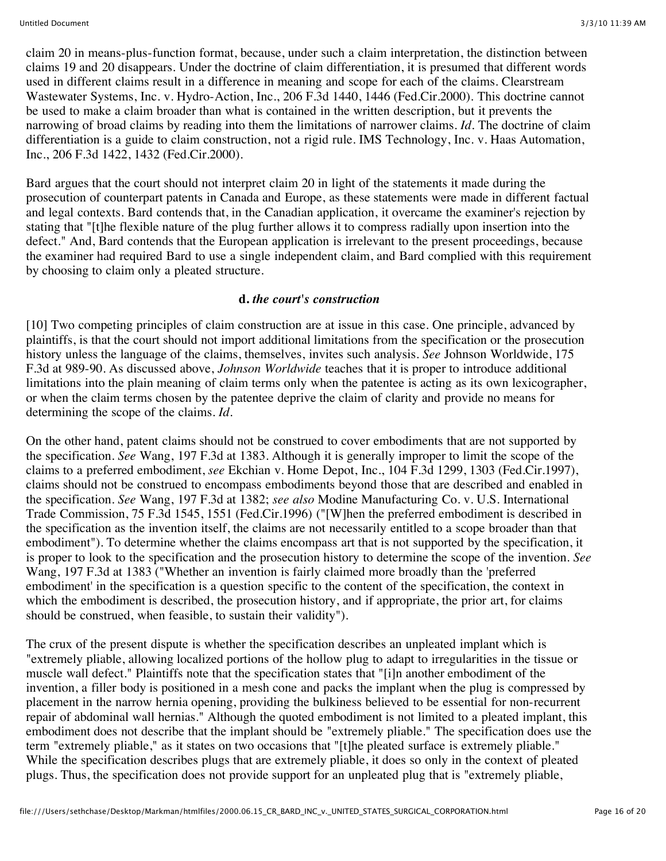claim 20 in means-plus-function format, because, under such a claim interpretation, the distinction between claims 19 and 20 disappears. Under the doctrine of claim differentiation, it is presumed that different words used in different claims result in a difference in meaning and scope for each of the claims. Clearstream Wastewater Systems, Inc. v. Hydro-Action, Inc., 206 F.3d 1440, 1446 (Fed.Cir.2000). This doctrine cannot be used to make a claim broader than what is contained in the written description, but it prevents the narrowing of broad claims by reading into them the limitations of narrower claims. *Id.* The doctrine of claim differentiation is a guide to claim construction, not a rigid rule. IMS Technology, Inc. v. Haas Automation, Inc., 206 F.3d 1422, 1432 (Fed.Cir.2000).

Bard argues that the court should not interpret claim 20 in light of the statements it made during the prosecution of counterpart patents in Canada and Europe, as these statements were made in different factual and legal contexts. Bard contends that, in the Canadian application, it overcame the examiner's rejection by stating that "[t]he flexible nature of the plug further allows it to compress radially upon insertion into the defect." And, Bard contends that the European application is irrelevant to the present proceedings, because the examiner had required Bard to use a single independent claim, and Bard complied with this requirement by choosing to claim only a pleated structure.

#### **d.** *the court's construction*

[10] Two competing principles of claim construction are at issue in this case. One principle, advanced by plaintiffs, is that the court should not import additional limitations from the specification or the prosecution history unless the language of the claims, themselves, invites such analysis. *See* Johnson Worldwide, 175 F.3d at 989-90. As discussed above, *Johnson Worldwide* teaches that it is proper to introduce additional limitations into the plain meaning of claim terms only when the patentee is acting as its own lexicographer, or when the claim terms chosen by the patentee deprive the claim of clarity and provide no means for determining the scope of the claims. *Id.*

On the other hand, patent claims should not be construed to cover embodiments that are not supported by the specification. *See* Wang, 197 F.3d at 1383. Although it is generally improper to limit the scope of the claims to a preferred embodiment, *see* Ekchian v. Home Depot, Inc., 104 F.3d 1299, 1303 (Fed.Cir.1997), claims should not be construed to encompass embodiments beyond those that are described and enabled in the specification. *See* Wang, 197 F.3d at 1382; *see also* Modine Manufacturing Co. v. U.S. International Trade Commission, 75 F.3d 1545, 1551 (Fed.Cir.1996) ("[W]hen the preferred embodiment is described in the specification as the invention itself, the claims are not necessarily entitled to a scope broader than that embodiment"). To determine whether the claims encompass art that is not supported by the specification, it is proper to look to the specification and the prosecution history to determine the scope of the invention. *See* Wang, 197 F.3d at 1383 ("Whether an invention is fairly claimed more broadly than the 'preferred embodiment' in the specification is a question specific to the content of the specification, the context in which the embodiment is described, the prosecution history, and if appropriate, the prior art, for claims should be construed, when feasible, to sustain their validity").

The crux of the present dispute is whether the specification describes an unpleated implant which is "extremely pliable, allowing localized portions of the hollow plug to adapt to irregularities in the tissue or muscle wall defect." Plaintiffs note that the specification states that "[i]n another embodiment of the invention, a filler body is positioned in a mesh cone and packs the implant when the plug is compressed by placement in the narrow hernia opening, providing the bulkiness believed to be essential for non-recurrent repair of abdominal wall hernias." Although the quoted embodiment is not limited to a pleated implant, this embodiment does not describe that the implant should be "extremely pliable." The specification does use the term "extremely pliable," as it states on two occasions that "[t]he pleated surface is extremely pliable." While the specification describes plugs that are extremely pliable, it does so only in the context of pleated plugs. Thus, the specification does not provide support for an unpleated plug that is "extremely pliable,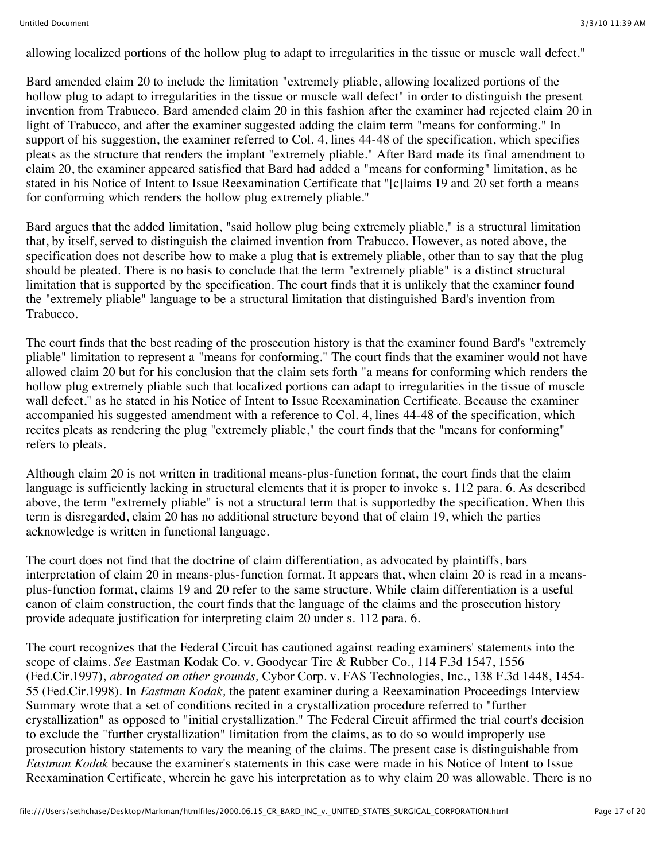allowing localized portions of the hollow plug to adapt to irregularities in the tissue or muscle wall defect."

Bard amended claim 20 to include the limitation "extremely pliable, allowing localized portions of the hollow plug to adapt to irregularities in the tissue or muscle wall defect" in order to distinguish the present invention from Trabucco. Bard amended claim 20 in this fashion after the examiner had rejected claim 20 in light of Trabucco, and after the examiner suggested adding the claim term "means for conforming." In support of his suggestion, the examiner referred to Col. 4, lines 44-48 of the specification, which specifies pleats as the structure that renders the implant "extremely pliable." After Bard made its final amendment to claim 20, the examiner appeared satisfied that Bard had added a "means for conforming" limitation, as he stated in his Notice of Intent to Issue Reexamination Certificate that "[c]laims 19 and 20 set forth a means for conforming which renders the hollow plug extremely pliable."

Bard argues that the added limitation, "said hollow plug being extremely pliable," is a structural limitation that, by itself, served to distinguish the claimed invention from Trabucco. However, as noted above, the specification does not describe how to make a plug that is extremely pliable, other than to say that the plug should be pleated. There is no basis to conclude that the term "extremely pliable" is a distinct structural limitation that is supported by the specification. The court finds that it is unlikely that the examiner found the "extremely pliable" language to be a structural limitation that distinguished Bard's invention from Trabucco.

The court finds that the best reading of the prosecution history is that the examiner found Bard's "extremely pliable" limitation to represent a "means for conforming." The court finds that the examiner would not have allowed claim 20 but for his conclusion that the claim sets forth "a means for conforming which renders the hollow plug extremely pliable such that localized portions can adapt to irregularities in the tissue of muscle wall defect," as he stated in his Notice of Intent to Issue Reexamination Certificate. Because the examiner accompanied his suggested amendment with a reference to Col. 4, lines 44-48 of the specification, which recites pleats as rendering the plug "extremely pliable," the court finds that the "means for conforming" refers to pleats.

Although claim 20 is not written in traditional means-plus-function format, the court finds that the claim language is sufficiently lacking in structural elements that it is proper to invoke s. 112 para. 6. As described above, the term "extremely pliable" is not a structural term that is supportedby the specification. When this term is disregarded, claim 20 has no additional structure beyond that of claim 19, which the parties acknowledge is written in functional language.

The court does not find that the doctrine of claim differentiation, as advocated by plaintiffs, bars interpretation of claim 20 in means-plus-function format. It appears that, when claim 20 is read in a meansplus-function format, claims 19 and 20 refer to the same structure. While claim differentiation is a useful canon of claim construction, the court finds that the language of the claims and the prosecution history provide adequate justification for interpreting claim 20 under s. 112 para. 6.

The court recognizes that the Federal Circuit has cautioned against reading examiners' statements into the scope of claims. *See* Eastman Kodak Co. v. Goodyear Tire & Rubber Co., 114 F.3d 1547, 1556 (Fed.Cir.1997), *abrogated on other grounds,* Cybor Corp. v. FAS Technologies, Inc., 138 F.3d 1448, 1454- 55 (Fed.Cir.1998). In *Eastman Kodak,* the patent examiner during a Reexamination Proceedings Interview Summary wrote that a set of conditions recited in a crystallization procedure referred to "further crystallization" as opposed to "initial crystallization." The Federal Circuit affirmed the trial court's decision to exclude the "further crystallization" limitation from the claims, as to do so would improperly use prosecution history statements to vary the meaning of the claims. The present case is distinguishable from *Eastman Kodak* because the examiner's statements in this case were made in his Notice of Intent to Issue Reexamination Certificate, wherein he gave his interpretation as to why claim 20 was allowable. There is no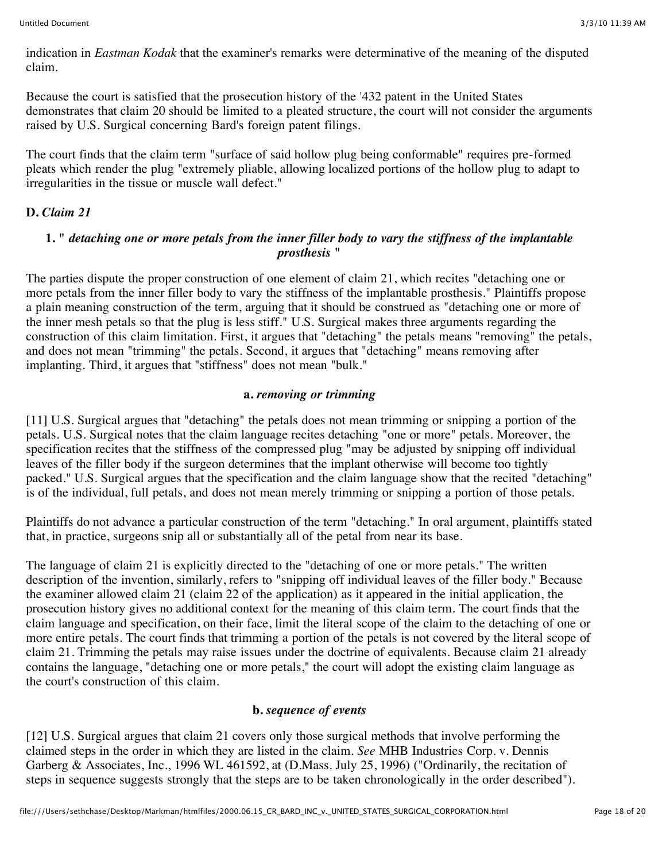indication in *Eastman Kodak* that the examiner's remarks were determinative of the meaning of the disputed claim.

Because the court is satisfied that the prosecution history of the '432 patent in the United States demonstrates that claim 20 should be limited to a pleated structure, the court will not consider the arguments raised by U.S. Surgical concerning Bard's foreign patent filings.

The court finds that the claim term "surface of said hollow plug being conformable" requires pre-formed pleats which render the plug "extremely pliable, allowing localized portions of the hollow plug to adapt to irregularities in the tissue or muscle wall defect."

### **D.** *Claim 21*

### **1. "** *detaching one or more petals from the inner filler body to vary the stiffness of the implantable prosthesis* **"**

The parties dispute the proper construction of one element of claim 21, which recites "detaching one or more petals from the inner filler body to vary the stiffness of the implantable prosthesis." Plaintiffs propose a plain meaning construction of the term, arguing that it should be construed as "detaching one or more of the inner mesh petals so that the plug is less stiff." U.S. Surgical makes three arguments regarding the construction of this claim limitation. First, it argues that "detaching" the petals means "removing" the petals, and does not mean "trimming" the petals. Second, it argues that "detaching" means removing after implanting. Third, it argues that "stiffness" does not mean "bulk."

#### **a.** *removing or trimming*

[11] U.S. Surgical argues that "detaching" the petals does not mean trimming or snipping a portion of the petals. U.S. Surgical notes that the claim language recites detaching "one or more" petals. Moreover, the specification recites that the stiffness of the compressed plug "may be adjusted by snipping off individual leaves of the filler body if the surgeon determines that the implant otherwise will become too tightly packed." U.S. Surgical argues that the specification and the claim language show that the recited "detaching" is of the individual, full petals, and does not mean merely trimming or snipping a portion of those petals.

Plaintiffs do not advance a particular construction of the term "detaching." In oral argument, plaintiffs stated that, in practice, surgeons snip all or substantially all of the petal from near its base.

The language of claim 21 is explicitly directed to the "detaching of one or more petals." The written description of the invention, similarly, refers to "snipping off individual leaves of the filler body." Because the examiner allowed claim 21 (claim 22 of the application) as it appeared in the initial application, the prosecution history gives no additional context for the meaning of this claim term. The court finds that the claim language and specification, on their face, limit the literal scope of the claim to the detaching of one or more entire petals. The court finds that trimming a portion of the petals is not covered by the literal scope of claim 21. Trimming the petals may raise issues under the doctrine of equivalents. Because claim 21 already contains the language, "detaching one or more petals," the court will adopt the existing claim language as the court's construction of this claim.

### **b.** *sequence of events*

[12] U.S. Surgical argues that claim 21 covers only those surgical methods that involve performing the claimed steps in the order in which they are listed in the claim. *See* MHB Industries Corp. v. Dennis Garberg & Associates, Inc., 1996 WL 461592, at (D.Mass. July 25, 1996) ("Ordinarily, the recitation of steps in sequence suggests strongly that the steps are to be taken chronologically in the order described").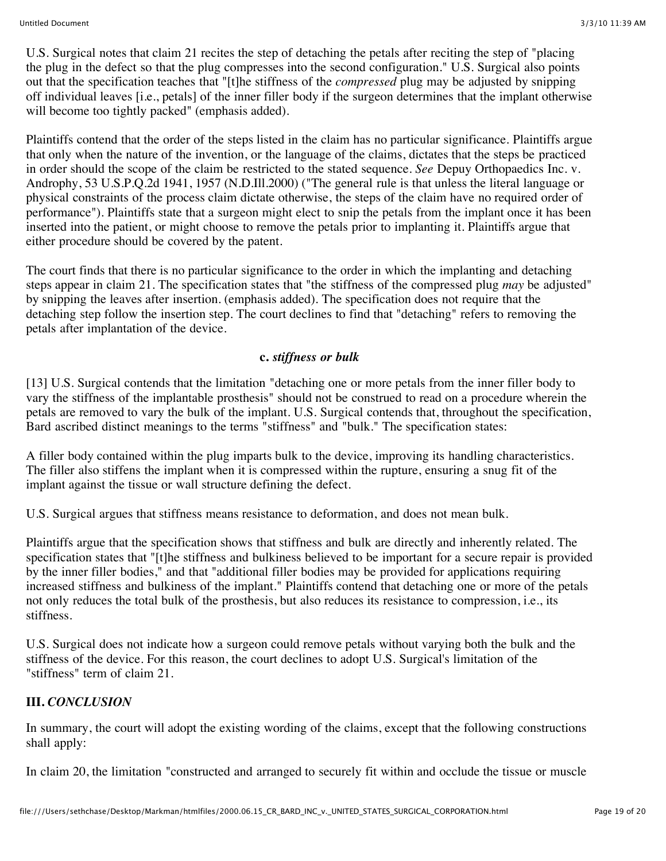U.S. Surgical notes that claim 21 recites the step of detaching the petals after reciting the step of "placing the plug in the defect so that the plug compresses into the second configuration." U.S. Surgical also points out that the specification teaches that "[t]he stiffness of the *compressed* plug may be adjusted by snipping off individual leaves [i.e., petals] of the inner filler body if the surgeon determines that the implant otherwise will become too tightly packed" (emphasis added).

Plaintiffs contend that the order of the steps listed in the claim has no particular significance. Plaintiffs argue that only when the nature of the invention, or the language of the claims, dictates that the steps be practiced in order should the scope of the claim be restricted to the stated sequence. *See* Depuy Orthopaedics Inc. v. Androphy, 53 U.S.P.Q.2d 1941, 1957 (N.D.Ill.2000) ("The general rule is that unless the literal language or physical constraints of the process claim dictate otherwise, the steps of the claim have no required order of performance"). Plaintiffs state that a surgeon might elect to snip the petals from the implant once it has been inserted into the patient, or might choose to remove the petals prior to implanting it. Plaintiffs argue that either procedure should be covered by the patent.

The court finds that there is no particular significance to the order in which the implanting and detaching steps appear in claim 21. The specification states that "the stiffness of the compressed plug *may* be adjusted" by snipping the leaves after insertion. (emphasis added). The specification does not require that the detaching step follow the insertion step. The court declines to find that "detaching" refers to removing the petals after implantation of the device.

### **c.** *stiffness or bulk*

[13] U.S. Surgical contends that the limitation "detaching one or more petals from the inner filler body to vary the stiffness of the implantable prosthesis" should not be construed to read on a procedure wherein the petals are removed to vary the bulk of the implant. U.S. Surgical contends that, throughout the specification, Bard ascribed distinct meanings to the terms "stiffness" and "bulk." The specification states:

A filler body contained within the plug imparts bulk to the device, improving its handling characteristics. The filler also stiffens the implant when it is compressed within the rupture, ensuring a snug fit of the implant against the tissue or wall structure defining the defect.

U.S. Surgical argues that stiffness means resistance to deformation, and does not mean bulk.

Plaintiffs argue that the specification shows that stiffness and bulk are directly and inherently related. The specification states that "[t]he stiffness and bulkiness believed to be important for a secure repair is provided by the inner filler bodies," and that "additional filler bodies may be provided for applications requiring increased stiffness and bulkiness of the implant." Plaintiffs contend that detaching one or more of the petals not only reduces the total bulk of the prosthesis, but also reduces its resistance to compression, i.e., its stiffness.

U.S. Surgical does not indicate how a surgeon could remove petals without varying both the bulk and the stiffness of the device. For this reason, the court declines to adopt U.S. Surgical's limitation of the "stiffness" term of claim 21.

# **III.** *CONCLUSION*

In summary, the court will adopt the existing wording of the claims, except that the following constructions shall apply:

In claim 20, the limitation "constructed and arranged to securely fit within and occlude the tissue or muscle